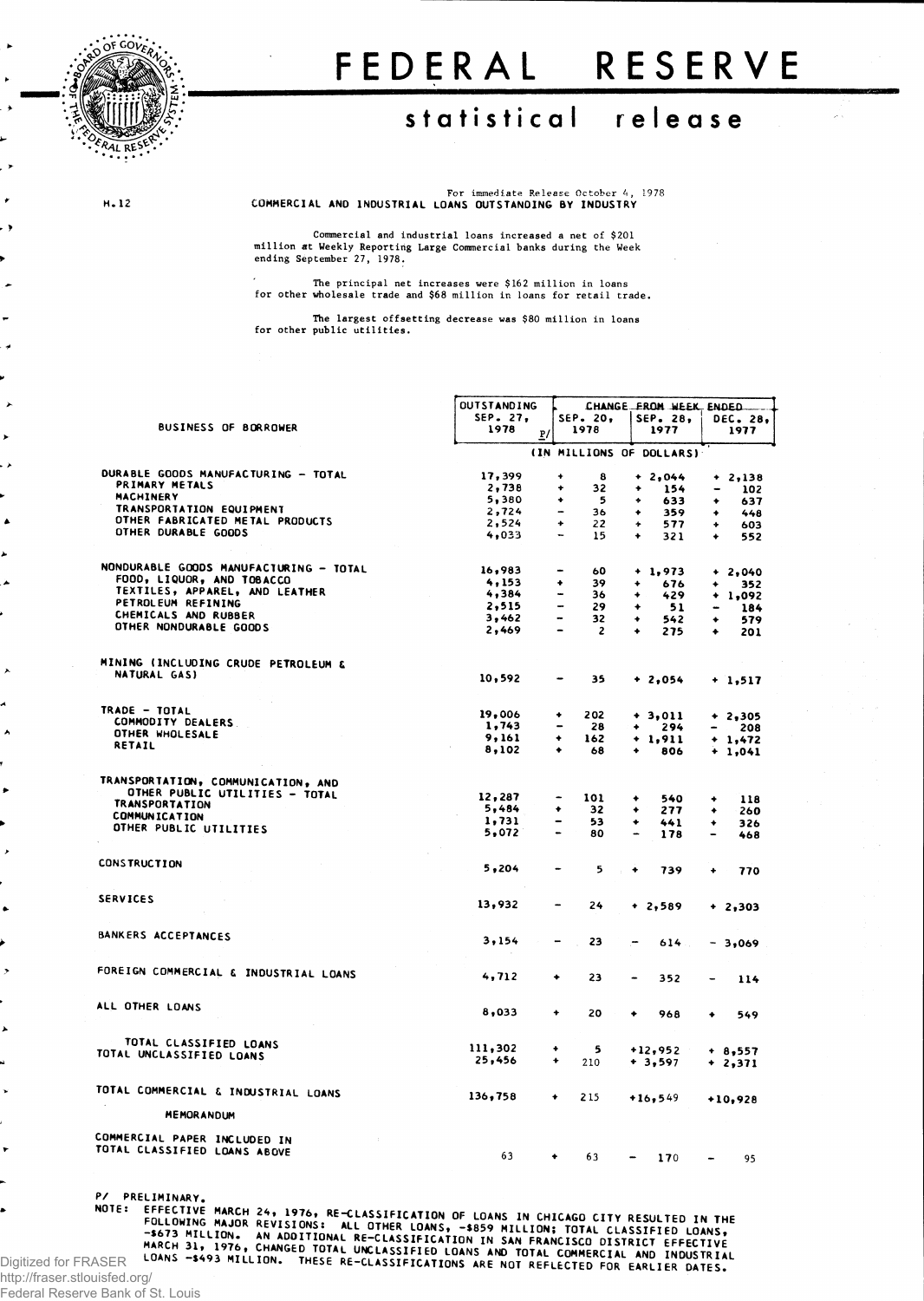

**H.12** 

## FEDERAL RESERVE

## **statistica l releas e**

For immediate Release October 4, 1978 **COMMERCIAL AND INDUSTRIAL LOANS OUTSTANDING BY INDUSTRY**

**Commercial and industrial loans increased a net of \$201 million at Weekly Reporting Large Commercial banks during the Week ending September 27, 1978.**

**The principal net increases were \$162 million in loans for other wholesale trade and \$68 million in loans for retail trade.**

**The largest offsetting decrease was \$80 million in loans for other public utilities.**

|                                                                                                          | <b>OUTSTANDING</b>     | CHANGE FROM WEEK, ENDED  |                |           |                          |                              |                  |  |  |
|----------------------------------------------------------------------------------------------------------|------------------------|--------------------------|----------------|-----------|--------------------------|------------------------------|------------------|--|--|
| <b>BUSINESS OF BORROWER</b>                                                                              | SEP. 27,<br>1978<br>P/ | SEP. 20,<br>1978         |                |           | SEP. 28.<br>1977         |                              | DEC. 28,<br>1977 |  |  |
|                                                                                                          |                        |                          |                |           | (IN MILLIONS OF DOLLARS) |                              |                  |  |  |
| DURABLE GOODS MANUFACTURING - TOTAL                                                                      | 17,399                 | $\ddot{}$                | 8              |           | $+2,044$                 |                              |                  |  |  |
| PRIMARY METALS                                                                                           | 2,738                  | ÷                        | 32             | ۰         | 154                      | -                            | $+2,138$<br>102  |  |  |
| <b>MACHINERY</b>                                                                                         | 5,380                  | ۰                        | 5              | ۰         | 633                      | ۰                            | 637              |  |  |
| TRANSPORTATION EQUIPMENT                                                                                 | 2,724                  | $\overline{\phantom{a}}$ | 36             | ۰         | 359                      | ٠                            | 448              |  |  |
| OTHER FABRICATED METAL PRODUCTS                                                                          | 2,524                  | $\ddotmark$              | 22             | $\ddot{}$ | 577                      | ۰                            | 603              |  |  |
| OTHER DURABLE GOODS                                                                                      | 4.033                  |                          | 15             | ٠         | 321                      | ٠                            | 552              |  |  |
|                                                                                                          |                        |                          |                |           |                          |                              |                  |  |  |
| NONDURABLE GOODS MANUFACTURING - TOTAL                                                                   | 16,983                 |                          | 60             |           | $+1,973$                 |                              | $+2,040$         |  |  |
| FOOD, LIQUOR, AND TOBACCO                                                                                | 4,153                  | ۰                        | 39             | ۰         | 676                      | $\ddot{\phantom{0}}$         | 352              |  |  |
| TEXTILES, APPAREL, AND LEATHER                                                                           | 4,384                  | $\overline{\phantom{0}}$ | 36             | ٠         | 429                      |                              | $+ 1,092$        |  |  |
| PETROLEUM REFINING                                                                                       | 2,515                  |                          | 29             | ٠         | 51                       | $\blacksquare$               | 184              |  |  |
| CHEMICALS AND RUBBER                                                                                     | 3,462                  | $\overline{\phantom{a}}$ | 32             | ۰         | 542                      | ٠                            | 579              |  |  |
| OTHER NONDURABLE GOODS                                                                                   | 2,469                  | $\bullet$                | $\overline{2}$ | ٠         | 275                      | ٠                            | 201              |  |  |
| MINING (INCLUDING CRUDE PETROLEUM &                                                                      |                        |                          |                |           |                          |                              |                  |  |  |
| NATURAL GAS)                                                                                             | 10,592                 | ۰                        | 35             |           | $+2,054$                 |                              |                  |  |  |
|                                                                                                          |                        |                          |                |           |                          |                              | $+ 1,517$        |  |  |
| TRADE - TOTAL                                                                                            | 19,006                 | 202<br>۰                 |                |           |                          |                              |                  |  |  |
| COMMODITY DEALERS                                                                                        | 1,743                  |                          | 28             | ٠         | $+3,011$                 |                              | $+2,305$         |  |  |
| OTHER WHOLESALE                                                                                          | 9,161                  | ٠<br>162                 |                |           | 294                      | $\overline{\phantom{0}}$     | 208              |  |  |
| RETAIL                                                                                                   | 8,102                  | ٠                        | 68             | ٠         | $+1,911$<br>806          |                              | $+ 1,472$        |  |  |
|                                                                                                          |                        |                          |                |           |                          |                              | $+ 1,041$        |  |  |
| TRANSPORTATION, COMMUNICATION, AND                                                                       |                        |                          |                |           |                          |                              |                  |  |  |
| OTHER PUBLIC UTILITIES - TOTAL                                                                           |                        |                          |                |           |                          |                              |                  |  |  |
| <b>TRANSPORTATION</b>                                                                                    | 12,287<br>5,484        | 101<br>۰                 |                | ۰         | 540                      | ۰                            | 118              |  |  |
| <b>COMMUNICATION</b>                                                                                     |                        | $\overline{\phantom{0}}$ | 32             | ۰         | 277                      | ٠                            | 260              |  |  |
| OTHER PUBLIC UTILITIES                                                                                   | 1,731<br>5,072         |                          | 53<br>80       | ۰         | 441                      | ٠                            | 326              |  |  |
|                                                                                                          |                        |                          |                |           | 178                      | $\overline{\phantom{0}}$     | 468              |  |  |
| <b>CONSTRUCTION</b>                                                                                      | 5,204                  |                          | 5              |           |                          |                              |                  |  |  |
|                                                                                                          |                        |                          |                | ٠         | 739                      | ٠                            | 770              |  |  |
| <b>SERVICES</b>                                                                                          | 13,932                 |                          |                |           |                          |                              |                  |  |  |
|                                                                                                          |                        |                          | 24             |           | $+2,589$                 |                              | $+2,303$         |  |  |
| BANKERS ACCEPTANCES                                                                                      |                        |                          |                |           |                          |                              |                  |  |  |
|                                                                                                          | 3,154                  |                          | 23             |           | 614                      |                              | $-3,069$         |  |  |
| FOREIGN COMMERCIAL & INDUSTRIAL LOANS                                                                    |                        |                          |                |           |                          |                              |                  |  |  |
|                                                                                                          | 4,712                  | ٠                        | 23             |           | 352                      | $\overline{\phantom{a}}$     | 114              |  |  |
| ALL OTHER LOANS                                                                                          |                        |                          |                |           |                          |                              |                  |  |  |
|                                                                                                          | 8,033                  | ٠                        | 20             | ٠         | 968                      | ٠                            | 549              |  |  |
| TOTAL CLASSIFIED LOANS                                                                                   |                        |                          |                |           |                          |                              |                  |  |  |
| TOTAL UNCLASSIFIED LOANS                                                                                 | 111,302                | ۰                        | 5              |           | +12,952                  |                              | $+ 8,557$        |  |  |
|                                                                                                          | 25,456                 | ۰<br>210                 |                |           | $+3,597$                 |                              | $+2,371$         |  |  |
| TOTAL COMMERCIAL & INDUSTRIAL LOANS                                                                      | 136,758                | ۰<br>215                 |                |           |                          |                              |                  |  |  |
| MEMORANDUM                                                                                               |                        |                          |                |           | $+16,549$                |                              | $+10,928$        |  |  |
|                                                                                                          |                        |                          |                |           |                          |                              |                  |  |  |
| COMMERCIAL PAPER INCLUDED IN<br>TOTAL CLASSIFIED LOANS ABOVE                                             |                        |                          |                |           |                          |                              |                  |  |  |
|                                                                                                          | 63                     | 63<br>۰                  |                |           | 170                      | $\qquad \qquad \blacksquare$ | 95               |  |  |
| P/ PRELIMINARY.<br>NOTE: EFFECTIVE MARCH 24, 1976, RE-CLASSIFICATION OF LOANS IN CHICAGO CITY RESULTED 7 |                        |                          |                |           |                          |                              |                  |  |  |

Digitized for FRASER EFFECTIVE MAKCH 24, 1976, RE-CLASSIFICATION OF LOANS IN CHICAGO CITY RESULTED IN THE FOLLOWING MAJOR REVISIONS: ALL OTHER LOANS, -\$859 MILLION; TOTAL CLASSIFIED LOANS, -\$673 MILLION. AN OUTIONAL RE-CLASSIFICATION IN SAN FR

http://fraser.stlouisfed.org/

Federal Reserve Bank of St. Louis